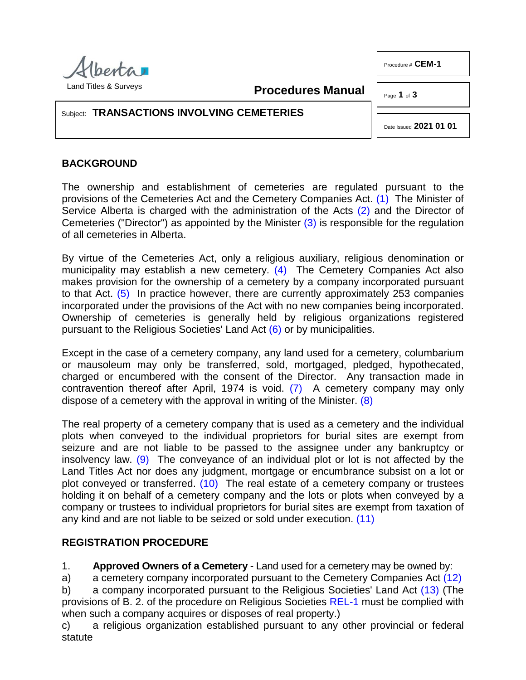

<span id="page-0-3"></span><span id="page-0-1"></span>**Procedures Manual**

Page **1** of **3**

Procedure # **CEM-1** 

## Subject: **TRANSACTIONS INVOLVING CEMETERIES**

<span id="page-0-7"></span><span id="page-0-2"></span><span id="page-0-0"></span>Date Issued **2021 01 01**

## **BACKGROUND**

The ownership and establishment of cemeteries are regulated pursuant to the provisions of the Cemeteries Act and the Cemetery Companies Act. [\(1\)](#page-2-0) The Minister of Service Alberta is charged with the administration of the Acts [\(2\)](#page-2-1) and the Director of Cemeteries ("Director") as appointed by the Minister [\(3\)](#page-2-2) is responsible for the regulation of all cemeteries in Alberta.

<span id="page-0-4"></span>By virtue of the Cemeteries Act, only a religious auxiliary, religious denomination or municipality may establish a new cemetery. [\(4\)](#page-2-3) The Cemetery Companies Act also makes provision for the ownership of a cemetery by a company incorporated pursuant to that Act. [\(5\)](#page-2-4) In practice however, there are currently approximately 253 companies incorporated under the provisions of the Act with no new companies being incorporated. Ownership of cemeteries is generally held by religious organizations registered pursuant to the Religious Societies' Land Act [\(6\)](#page-2-5) or by municipalities.

<span id="page-0-6"></span><span id="page-0-5"></span>Except in the case of a cemetery company, any land used for a cemetery, columbarium or mausoleum may only be transferred, sold, mortgaged, pledged, hypothecated, charged or encumbered with the consent of the Director. Any transaction made in contravention thereof after April, 1974 is void. [\(7\)](#page-2-6) A cemetery company may only dispose of a cemetery with the approval in writing of the Minister. [\(8\)](#page-2-7)

<span id="page-0-8"></span>The real property of a cemetery company that is used as a cemetery and the individual plots when conveyed to the individual proprietors for burial sites are exempt from seizure and are not liable to be passed to the assignee under any bankruptcy or insolvency law. [\(9\)](#page-2-8) The conveyance of an individual plot or lot is not affected by the Land Titles Act nor does any judgment, mortgage or encumbrance subsist on a lot or plot conveyed or transferred.  $(10)$  The real estate of a cemetery company or trustees holding it on behalf of a cemetery company and the lots or plots when conveyed by a company or trustees to individual proprietors for burial sites are exempt from taxation of any kind and are not liable to be seized or sold under execution. [\(11\)](#page-2-10)

## <span id="page-0-9"></span>**REGISTRATION PROCEDURE**

<span id="page-0-10"></span>1. **Approved Owners of a Cemetery** - Land used for a cemetery may be owned by:

a) a cemetery company incorporated pursuant to the Cemetery Companies Act [\(12\)](#page-2-11)

<span id="page-0-11"></span>b) a company incorporated pursuant to the Religious Societies' Land Act [\(13\)](#page-2-12) (The provisions of B. 2. of the procedure on Religious Societies [REL-1](http://www.servicealberta.ca/pdf/ltmanual/REL-1.pdf) must be complied with when such a company acquires or disposes of real property.)

c) a religious organization established pursuant to any other provincial or federal statute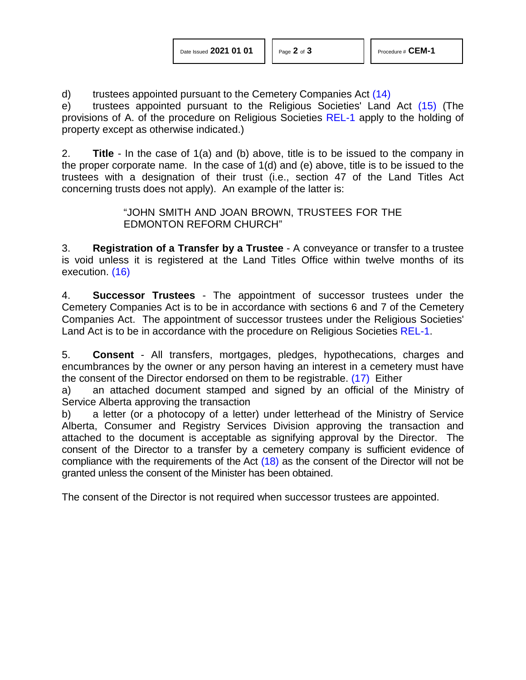| Date Issued 2021 01 01 |  |  |  |
|------------------------|--|--|--|
|------------------------|--|--|--|

<span id="page-1-1"></span><span id="page-1-0"></span>

d) trustees appointed pursuant to the Cemetery Companies Act [\(14\)](#page-2-13)

e) trustees appointed pursuant to the Religious Societies' Land Act [\(15\)](#page-2-14) (The provisions of A. of the procedure on Religious Societies [REL-1](http://www.servicealberta.ca/pdf/ltmanual/REL-1.pdf) apply to the holding of property except as otherwise indicated.)

2. **Title** - In the case of 1(a) and (b) above, title is to be issued to the company in the proper corporate name. In the case of 1(d) and (e) above, title is to be issued to the trustees with a designation of their trust (i.e., section 47 of the Land Titles Act concerning trusts does not apply). An example of the latter is:

> <span id="page-1-3"></span>"JOHN SMITH AND JOAN BROWN, TRUSTEES FOR THE EDMONTON REFORM CHURCH"

<span id="page-1-2"></span>3. **Registration of a Transfer by a Trustee** - A conveyance or transfer to a trustee is void unless it is registered at the Land Titles Office within twelve months of its execution. [\(16\)](#page-2-15)

4. **Successor Trustees** - The appointment of successor trustees under the Cemetery Companies Act is to be in accordance with sections 6 and 7 of the Cemetery Companies Act. The appointment of successor trustees under the Religious Societies' Land Act is to be in accordance with the procedure on Religious Societies [REL-1.](http://www.servicealberta.ca/pdf/ltmanual/REL-1.pdf)

5. **Consent** - All transfers, mortgages, pledges, hypothecations, charges and encumbrances by the owner or any person having an interest in a cemetery must have the consent of the Director endorsed on them to be registrable. [\(17\)](#page-2-16) Either

a) an attached document stamped and signed by an official of the Ministry of Service Alberta approving the transaction

b) a letter (or a photocopy of a letter) under letterhead of the Ministry of Service Alberta, Consumer and Registry Services Division approving the transaction and attached to the document is acceptable as signifying approval by the Director. The consent of the Director to a transfer by a cemetery company is sufficient evidence of compliance with the requirements of the Act [\(18\)](#page-2-17) as the consent of the Director will not be granted unless the consent of the Minister has been obtained.

<span id="page-1-4"></span>The consent of the Director is not required when successor trustees are appointed.